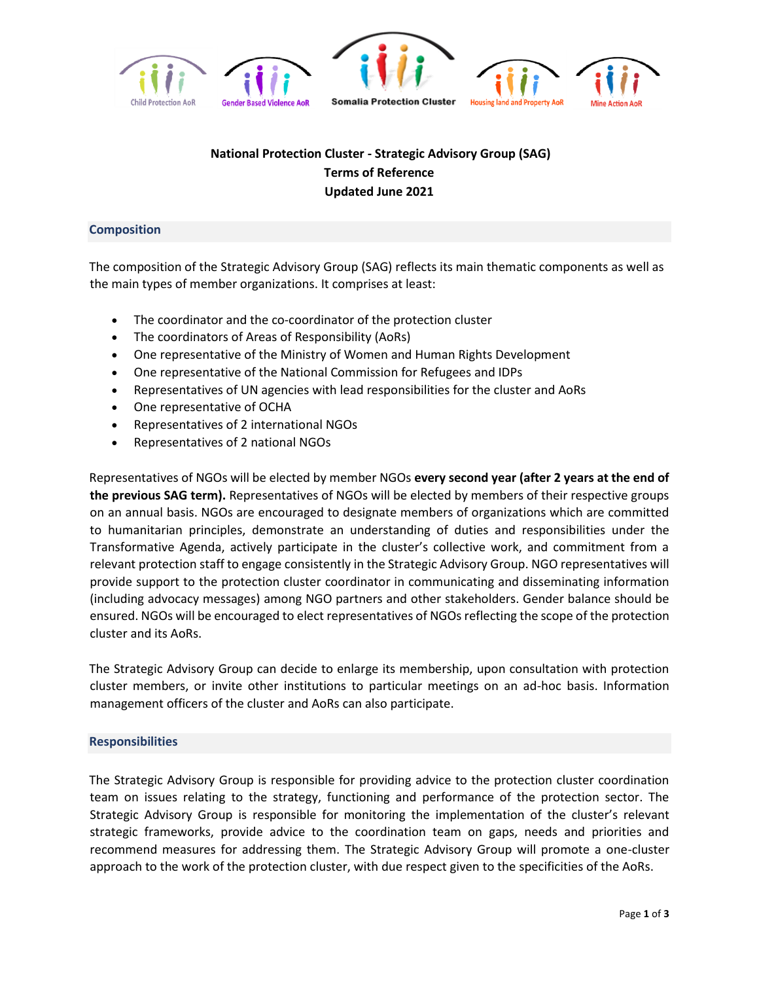

## **National Protection Cluster - Strategic Advisory Group (SAG) Terms of Reference Updated June 2021**

## **Composition**

The composition of the Strategic Advisory Group (SAG) reflects its main thematic components as well as the main types of member organizations. It comprises at least:

- The coordinator and the co-coordinator of the protection cluster
- The coordinators of Areas of Responsibility (AoRs)
- One representative of the Ministry of Women and Human Rights Development
- One representative of the National Commission for Refugees and IDPs
- Representatives of UN agencies with lead responsibilities for the cluster and AoRs
- One representative of OCHA
- Representatives of 2 international NGOs
- Representatives of 2 national NGOs

Representatives of NGOs will be elected by member NGOs **every second year (after 2 years at the end of the previous SAG term).** Representatives of NGOs will be elected by members of their respective groups on an annual basis. NGOs are encouraged to designate members of organizations which are committed to humanitarian principles, demonstrate an understanding of duties and responsibilities under the Transformative Agenda, actively participate in the cluster's collective work, and commitment from a relevant protection staff to engage consistently in the Strategic Advisory Group. NGO representatives will provide support to the protection cluster coordinator in communicating and disseminating information (including advocacy messages) among NGO partners and other stakeholders. Gender balance should be ensured. NGOs will be encouraged to elect representatives of NGOs reflecting the scope of the protection cluster and its AoRs.

The Strategic Advisory Group can decide to enlarge its membership, upon consultation with protection cluster members, or invite other institutions to particular meetings on an ad-hoc basis. Information management officers of the cluster and AoRs can also participate.

## **Responsibilities**

The Strategic Advisory Group is responsible for providing advice to the protection cluster coordination team on issues relating to the strategy, functioning and performance of the protection sector. The Strategic Advisory Group is responsible for monitoring the implementation of the cluster's relevant strategic frameworks, provide advice to the coordination team on gaps, needs and priorities and recommend measures for addressing them. The Strategic Advisory Group will promote a one-cluster approach to the work of the protection cluster, with due respect given to the specificities of the AoRs.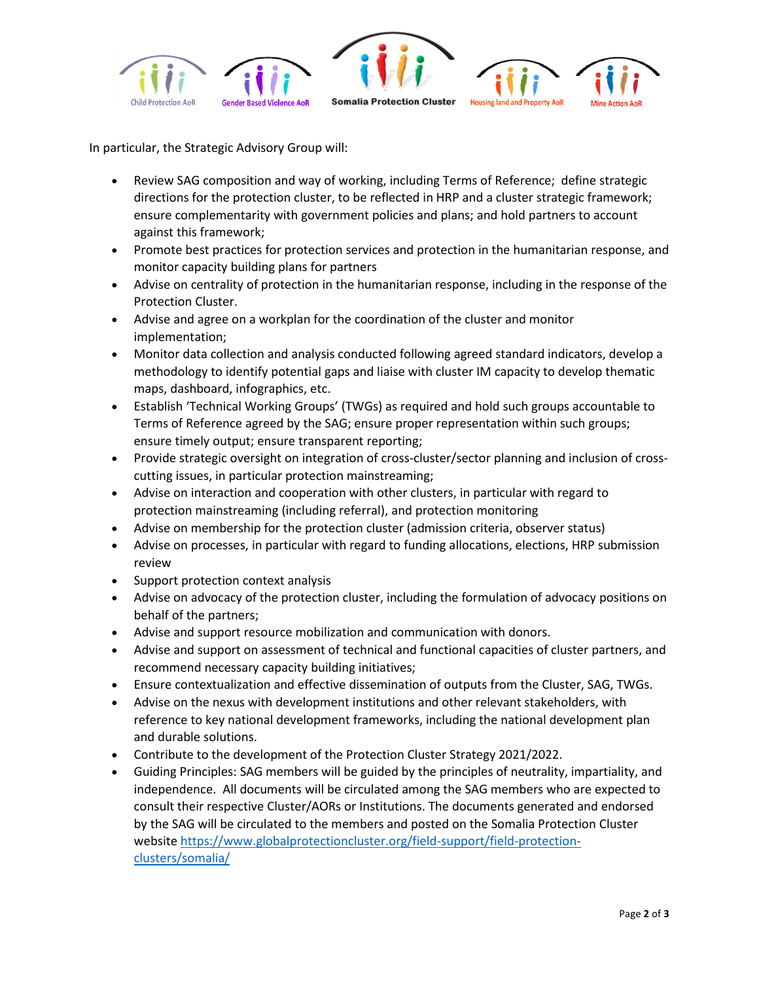

In particular, the Strategic Advisory Group will:

- Review SAG composition and way of working, including Terms of Reference; define strategic directions for the protection cluster, to be reflected in HRP and a cluster strategic framework; ensure complementarity with government policies and plans; and hold partners to account against this framework;
- Promote best practices for protection services and protection in the humanitarian response, and monitor capacity building plans for partners
- Advise on centrality of protection in the humanitarian response, including in the response of the Protection Cluster.
- Advise and agree on a workplan for the coordination of the cluster and monitor implementation;
- Monitor data collection and analysis conducted following agreed standard indicators, develop a methodology to identify potential gaps and liaise with cluster IM capacity to develop thematic maps, dashboard, infographics, etc.
- Establish 'Technical Working Groups' (TWGs) as required and hold such groups accountable to Terms of Reference agreed by the SAG; ensure proper representation within such groups; ensure timely output; ensure transparent reporting;
- Provide strategic oversight on integration of cross-cluster/sector planning and inclusion of crosscutting issues, in particular protection mainstreaming;
- Advise on interaction and cooperation with other clusters, in particular with regard to protection mainstreaming (including referral), and protection monitoring
- Advise on membership for the protection cluster (admission criteria, observer status)
- Advise on processes, in particular with regard to funding allocations, elections, HRP submission review
- Support protection context analysis
- Advise on advocacy of the protection cluster, including the formulation of advocacy positions on behalf of the partners;
- Advise and support resource mobilization and communication with donors.
- Advise and support on assessment of technical and functional capacities of cluster partners, and recommend necessary capacity building initiatives;
- Ensure contextualization and effective dissemination of outputs from the Cluster, SAG, TWGs.
- Advise on the nexus with development institutions and other relevant stakeholders, with reference to key national development frameworks, including the national development plan and durable solutions.
- Contribute to the development of the Protection Cluster Strategy 2021/2022.
- Guiding Principles: SAG members will be guided by the principles of neutrality, impartiality, and independence. All documents will be circulated among the SAG members who are expected to consult their respective Cluster/AORs or Institutions. The documents generated and endorsed by the SAG will be circulated to the members and posted on the Somalia Protection Cluster website [https://www.globalprotectioncluster.org/field-support/field-protection](https://www.globalprotectioncluster.org/field-support/field-protection-clusters/somalia/)[clusters/somalia/](https://www.globalprotectioncluster.org/field-support/field-protection-clusters/somalia/)